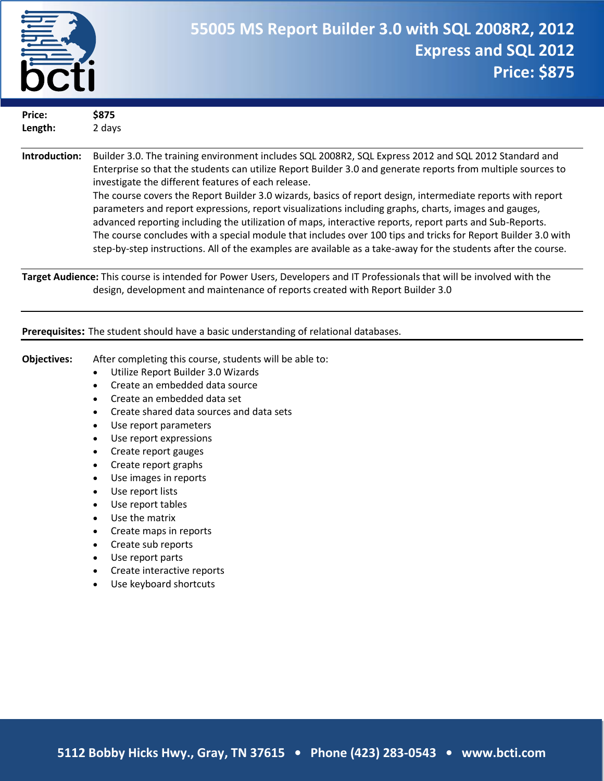

| Price:<br>Length:  | \$875<br>2 days                                               |
|--------------------|---------------------------------------------------------------|
|                    |                                                               |
| .<br>$\sim$ $\sim$ | -<br>$\sim$ $\sim$ $\sim$ $\sim$ $\sim$ $\sim$<br>.<br>$\sim$ |

**Introduction:** Builder 3.0. The training environment includes SQL 2008R2, SQL Express 2012 and SQL 2012 Standard and Enterprise so that the students can utilize Report Builder 3.0 and generate reports from multiple sources to investigate the different features of each release. The course covers the Report Builder 3.0 wizards, basics of report design, intermediate reports with report parameters and report expressions, report visualizations including graphs, charts, images and gauges, advanced reporting including the utilization of maps, interactive reports, report parts and Sub-Reports. The course concludes with a special module that includes over 100 tips and tricks for Report Builder 3.0 with step-by-step instructions. All of the examples are available as a take-away for the students after the course.

**Target Audience:** This course is intended for Power Users, Developers and IT Professionals that will be involved with the design, development and maintenance of reports created with Report Builder 3.0

#### **Prerequisites:** The student should have a basic understanding of relational databases.

- **Objectives:** After completing this course, students will be able to:
	- Utilize Report Builder 3.0 Wizards
	- Create an embedded data source
	- Create an embedded data set
	- Create shared data sources and data sets
	- Use report parameters
	- Use report expressions
	- Create report gauges
	- Create report graphs
	- Use images in reports
	- Use report lists
	- Use report tables
	- Use the matrix
	- Create maps in reports
	- Create sub reports
	- Use report parts
	- Create interactive reports
	- Use keyboard shortcuts